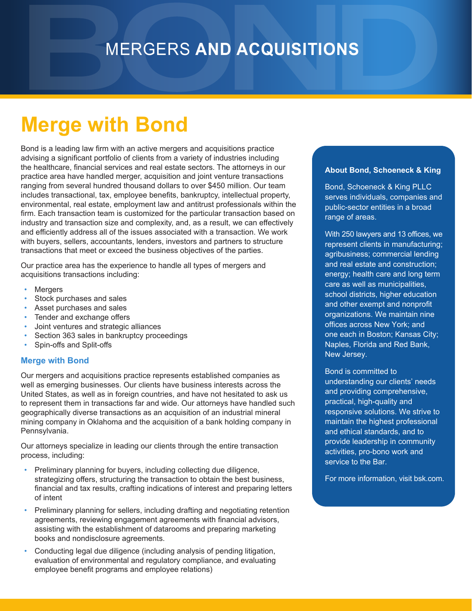### MERGERS **AND ACQUISITIONS**

## **Merge with Bond**

Bond is a leading law firm with an active mergers and acquisitions practice advising a significant portfolio of clients from a variety of industries including the healthcare, financial services and real estate sectors. The attorneys in our practice area have handled merger, acquisition and joint venture transactions ranging from several hundred thousand dollars to over \$450 million. Our team includes transactional, tax, employee benefits, bankruptcy, intellectual property, environmental, real estate, employment law and antitrust professionals within the firm. Each transaction team is customized for the particular transaction based on industry and transaction size and complexity, and, as a result, we can effectively and efficiently address all of the issues associated with a transaction. We work with buyers, sellers, accountants, lenders, investors and partners to structure transactions that meet or exceed the business objectives of the parties.

Our practice area has the experience to handle all types of mergers and acquisitions transactions including:

- **Mergers**
- Stock purchases and sales
- Asset purchases and sales
- Tender and exchange offers
- Joint ventures and strategic alliances
- Section 363 sales in bankruptcy proceedings
- Spin-offs and Split-offs

#### **Merge with Bond**

Our mergers and acquisitions practice represents established companies as well as emerging businesses. Our clients have business interests across the United States, as well as in foreign countries, and have not hesitated to ask us to represent them in transactions far and wide. Our attorneys have handled such geographically diverse transactions as an acquisition of an industrial mineral mining company in Oklahoma and the acquisition of a bank holding company in Pennsylvania.

Our attorneys specialize in leading our clients through the entire transaction process, including:

- Preliminary planning for buyers, including collecting due diligence, strategizing offers, structuring the transaction to obtain the best business, financial and tax results, crafting indications of interest and preparing letters of intent
- Preliminary planning for sellers, including drafting and negotiating retention agreements, reviewing engagement agreements with financial advisors, assisting with the establishment of datarooms and preparing marketing books and nondisclosure agreements.
- Conducting legal due diligence (including analysis of pending litigation, evaluation of environmental and regulatory compliance, and evaluating employee benefit programs and employee relations)

#### **About Bond, Schoeneck & King**

Bond, Schoeneck & King PLLC serves individuals, companies and public-sector entities in a broad range of areas.

With 250 lawyers and 13 offices, we represent clients in manufacturing; agribusiness; commercial lending and real estate and construction; energy; health care and long term care as well as municipalities, school districts, higher education and other exempt and nonprofit organizations. We maintain nine offices across New York; and one each in Boston; Kansas City; Naples, Florida and Red Bank, New Jersey.

Bond is committed to understanding our clients' needs and providing comprehensive, practical, high-quality and responsive solutions. We strive to maintain the highest professional and ethical standards, and to provide leadership in community activities, pro-bono work and service to the Bar.

For more information, visit bsk.com.